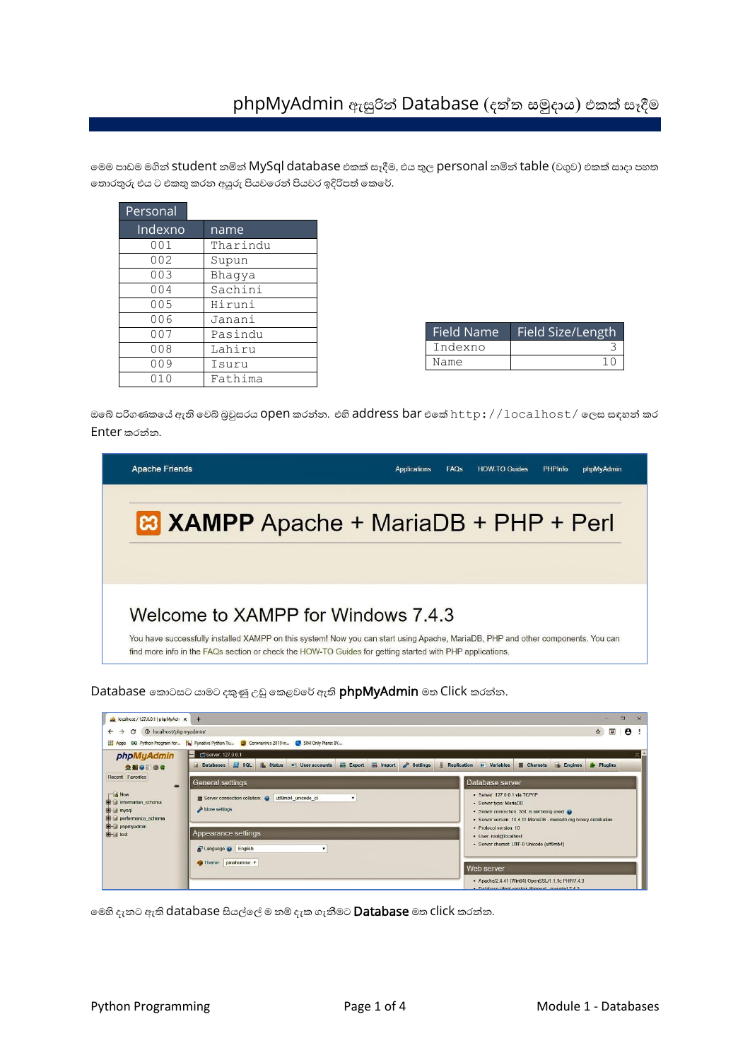මමම පාඩම මගින් student නමින් MySql database එකක් සෑදීම, එය තුල personal නමින් table (වගුව) එකක් සාදා පහත මතාරතුරු එය ට එකතු කරන අයුරු පියවමරන් පියවර ඉදිරිපත් මකමේ.

| Personal |          |
|----------|----------|
| Indexno  | name     |
| 001      | Tharindu |
| 002      | Supun    |
| 003      | Bhagya   |
| 004      | Sachini  |
| 005      | Hiruni   |
| 006      | Janani   |
| 007      | Pasindu  |
| 008      | Lahiru   |
| 009      | Isuru    |
| () 1 N   | Fathima  |

| Field Name | Field Size/Length |
|------------|-------------------|
| Indexno    |                   |
| Name       |                   |

ඔබේ පරිගණකයේ ඇති වෙබ් බුවුසරය <code>open</code> කරන්න. එහි address bar එකේ <code>http://localhost/</code> ලෙස සඳහන් කර Enter කරන්න.



Database මකාටසට යාමට දකුණු උඩු මකළවමේ ඇති phpMyAdmin මත Click කරන්න.

| A localhost / 127.0.0.1   phpMyAdr x +                                                                              |                                                                                                                                                                                                                                                                                                            |                                          | $\Box$<br>$\times$  |  |  |  |  |  |  |  |
|---------------------------------------------------------------------------------------------------------------------|------------------------------------------------------------------------------------------------------------------------------------------------------------------------------------------------------------------------------------------------------------------------------------------------------------|------------------------------------------|---------------------|--|--|--|--|--|--|--|
| $\rightarrow$<br>$\leftarrow$                                                                                       | Apps 8G Python Program for W Pynative Python Tu 28 Coronavirus 2019-n<br>SIM Only Plans: BY                                                                                                                                                                                                                | $\overline{a}$<br>$\boldsymbol{\hat{x}}$ | $\ddot{\mathbf{e}}$ |  |  |  |  |  |  |  |
| phpMyAdmin<br>$\Omega$ alogiac                                                                                      | Server: 127.0.0.1<br>$\Box$ sq.<br>Replication & Variables<br>Export import<br>Settings<br><b>Engines</b><br><b>Databases</b><br>Status all User accounts<br>Charsets                                                                                                                                      | Plugins                                  |                     |  |  |  |  |  |  |  |
| Recent Favorites<br>$\infty$<br>$\Box$ New<br><b>E information</b> schema<br><b>B</b> a mysql<br>performance schema | General settings<br>Database server<br>· Server: 127.0.0.1 via TCP/IP<br>Server connection collation: @ utf8mb4_unicode_ci<br>$\mathbf{v}$<br>· Server type: MariaDB<br>More settings<br>· Server connection: SSL is not being used<br>· Server version: 10.4.11-MariaDB - mariadb.org binary distribution |                                          |                     |  |  |  |  |  |  |  |
| <b>Company of the State of the State</b><br><b>B</b> G test                                                         | · Protocol version: 10<br>Appearance settings<br>· User: root@localhost<br>· Server charset: UTF-8 Unicode (utf8mb4)<br>Language @ English<br>Theme. pmahomme v                                                                                                                                            |                                          |                     |  |  |  |  |  |  |  |
|                                                                                                                     | Web server<br>• Apache/2.4.41 (Win64) OpenSSL/1.1.1c PHP/7.4.3<br>- Database client version: liberatural invested 7.4.3.                                                                                                                                                                                   |                                          |                     |  |  |  |  |  |  |  |

මමහි දැනට ඇති database සියල්මල් ම නම් දැක ගැනීමට Database මත click කරන්න.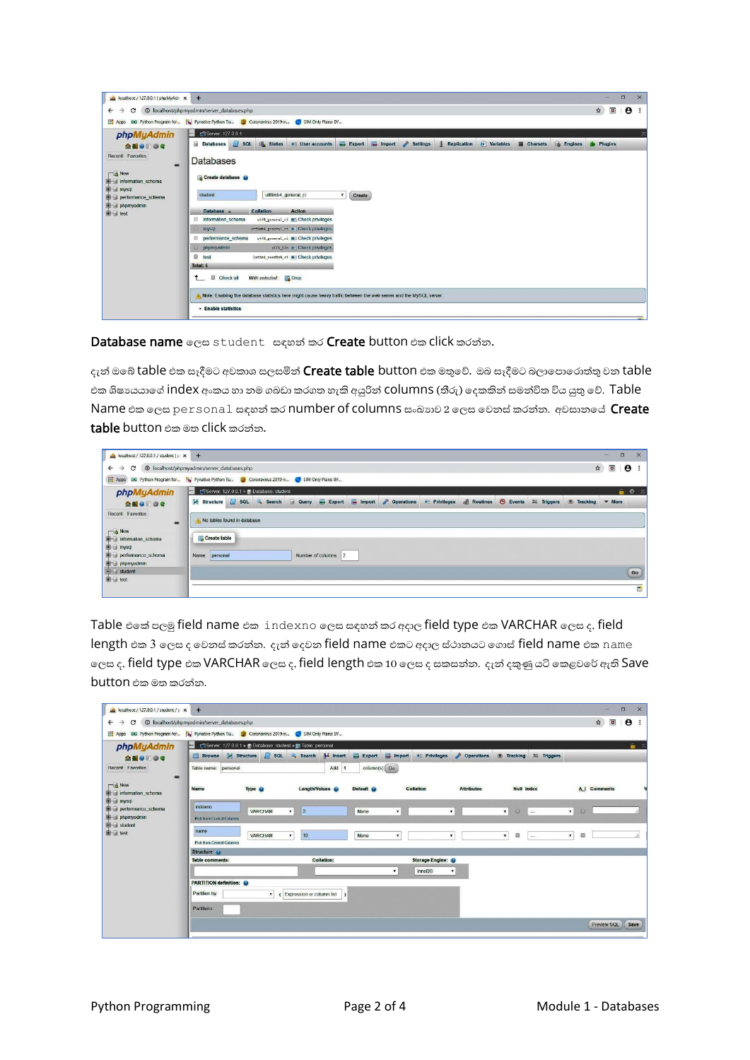| $\leftarrow$<br>$\rightarrow$<br>C              | <sup>O</sup> localhost/phpmyadmin/server_databases.php                                                                                                                                            | $\overline{a}$<br>$\hat{r}$ | $\boldsymbol{\Theta}$<br>÷ |
|-------------------------------------------------|---------------------------------------------------------------------------------------------------------------------------------------------------------------------------------------------------|-----------------------------|----------------------------|
|                                                 |                                                                                                                                                                                                   |                             |                            |
| Apps DG Python Program for                      | SIM Only Plans: BY<br>Coronavirus 2019-n<br><b>X</b> Pynative Python Tu                                                                                                                           |                             |                            |
| phpMyAdmin                                      | Server: 127 0 0 1<br>$\left  - \right $                                                                                                                                                           |                             |                            |
| <b>全国9回委员</b>                                   | $\bullet$ Variables<br><b>Databases</b><br>$\Box$ sq.<br>Import<br><b>Status</b><br>$E$ <b>Export</b><br>v<br><b>Co</b> Engines<br><b>Settings</b><br>an User accounts<br>Replication<br>Charsets | Plugins<br><b>FREE</b>      |                            |
| Recent Favorites<br>$rac{1}{2}$                 | <b>Databases</b>                                                                                                                                                                                  |                             |                            |
| $\Box$ New<br><b>Helal</b> information schema   | Create database                                                                                                                                                                                   |                             |                            |
| <b>B</b> a mysql<br><b>B</b> performance schema | utf8mb4 general ci<br>student<br>Create<br>۰.                                                                                                                                                     |                             |                            |
| phpmyadmin                                      |                                                                                                                                                                                                   |                             |                            |
| <b>B</b> -a test                                | <b>Collation</b><br><b>Action</b><br>Database a<br>日<br>information schema<br>utf8 general ci aF Check privileges                                                                                 |                             |                            |
|                                                 |                                                                                                                                                                                                   |                             |                            |
|                                                 | utfanb4 general ci a- Check privileges<br>mysql                                                                                                                                                   |                             |                            |
|                                                 | 田<br>performance schema<br>utf8 general ci all Check privileges                                                                                                                                   |                             |                            |
|                                                 | $\Box$<br>utfs bin a Check privileges<br>phpmyadmin                                                                                                                                               |                             |                            |
|                                                 | $\Box$ test<br>latin1 swedish_ci m= Check privileges                                                                                                                                              |                             |                            |
|                                                 | Total: 5                                                                                                                                                                                          |                             |                            |
|                                                 | Check all<br>$\uparrow$<br>With selected: Drop                                                                                                                                                    |                             |                            |
|                                                 | A. Note: Enabling the database statistics here might cause heavy traffic between the web server and the MySQL server.                                                                             |                             |                            |
|                                                 |                                                                                                                                                                                                   |                             |                            |

Database name මලස student සඳහන් කර Create button එක click කරන්න.

දැන් ඔමේ table එක සෑදීමට අවකාශ සලසමින් Create table button එක මතුමේ**.** ඔබ සෑදීමට බලාමපාමරාත්තු වන table එක ශිෂ්යයයාමේ index අංකය හා නම ගබඩා කරගත හැකි අයුරින් columns (තීරු) මදකකින් සමන්ිත ිය යුතු මේ. Table Name එක ලෙස personal සඳහන් කර number of columns සංඛාභව 2 ලෙස වෙනස් කරන්න. අවසානයේ Create table button එක මත click කරන්න**.**

| $\frac{1}{2}$ localhost / 127.0.0.1 / student   $\sqrt{2}$ $\times$                                  | $+$                                                             |            |        |            |                      |                            |               |                 |                |             |                 | $\Box$<br>                  | $\times$                   |
|------------------------------------------------------------------------------------------------------|-----------------------------------------------------------------|------------|--------|------------|----------------------|----------------------------|---------------|-----------------|----------------|-------------|-----------------|-----------------------------|----------------------------|
| <sup>O</sup> localhost/phpmyadmin/server_databases.php<br>$\mathbf{C}$<br>$\leftarrow$               |                                                                 |            |        |            |                      |                            |               |                 |                |             |                 | $\hat{p}$<br>$\overline{a}$ | $\boldsymbol{\Theta}$<br>4 |
| [11] Apps 86 Python Program for [5] Pynative Python Tu [3] Coronavirus 2019-n [4] SIM Only Plans: BY |                                                                 |            |        |            |                      |                            |               |                 |                |             |                 |                             |                            |
| phpMyAdmin                                                                                           | $\left  \cdot \right $<br>Server. 127.0.0.1 » Database. student |            |        |            |                      |                            |               |                 |                |             |                 |                             | 自尊ス                        |
| $AB 0 0 0 c$                                                                                         | <b>A</b> Structure                                              | $\Box$ sol | Search | 同<br>Query | $\rightarrow$ Export | Import <b>C</b> Operations | at Privileges | <b>Routines</b> | $\odot$ Events | 36 Triggers | <b>Tracking</b> | $\blacktriangledown$ More   |                            |
| Recent Favorites<br>60                                                                               | No tables found in database.                                    |            |        |            |                      |                            |               |                 |                |             |                 |                             |                            |
| $\Box$ New<br>information_schema<br><b>B</b> mysql                                                   | Create table                                                    |            |        |            |                      |                            |               |                 |                |             |                 |                             |                            |
| performance_schema                                                                                   | personal<br>Name:                                               |            |        |            | Number of columns: 2 |                            |               |                 |                |             |                 |                             |                            |
| <b>Changed School</b><br><b>Changed Student</b><br><b>Changed Street</b>                             |                                                                 |            |        |            |                      |                            |               |                 |                |             |                 |                             | Go                         |
|                                                                                                      |                                                                 |            |        |            |                      |                            |               |                 |                |             |                 |                             |                            |
|                                                                                                      |                                                                 |            |        |            |                      |                            |               |                 |                |             |                 |                             | ۳                          |

Table එමක් පලමු field name එක indexno මලස සඳහන් කර අදාල field type එක VARCHAR මලස ද, field length එක 3 මලස ද මවනස් කරන්න. දැන් මදවන field name එකට අදාල ස්ථානයට මගාස් field name එක name මලස ද, field type එක VARCHAR මලස ද, field length එක 10 මලස ද සකසන්න. දැන් දකුණු යටි මකළවමේ ඇති Save button එක මත කරන්න.

| $\mu$ localhost / 127.0.0.1 / student / p $\times$                                         | $+$                                                    |                                                                                                 |                                    |                |                            |                    |                        |             |                        | and the                     | $\Box$<br>$\times$ |  |  |  |
|--------------------------------------------------------------------------------------------|--------------------------------------------------------|-------------------------------------------------------------------------------------------------|------------------------------------|----------------|----------------------------|--------------------|------------------------|-------------|------------------------|-----------------------------|--------------------|--|--|--|
| C<br>$\rightarrow$<br>$\leftarrow$                                                         | <sup>O</sup> localhost/phpmyadmin/server_databases.php |                                                                                                 |                                    |                |                            |                    |                        |             |                        | $\hat{p}$<br>$\overline{u}$ | Θ<br>÷             |  |  |  |
| Apps 86 Python Program for 1% Pynative Python Tu 2 Coronavirus 2019-n 4 SIM Only Plans: BY |                                                        |                                                                                                 |                                    |                |                            |                    |                        |             |                        |                             |                    |  |  |  |
| phpMyAdmin                                                                                 | $\overline{\phantom{a}}$<br><b>Browse</b>              | Server: 127.0.0.1 » Database: student » [M] Table: personal<br><b>M</b> Structure<br>$\Box$ sq. | <b>See Insert</b><br><b>Search</b> | Export         | <b>Import a</b> Privileges | <b>Operations</b>  | <b>Tracking</b>        | 36 Triggers |                        |                             | 画下                 |  |  |  |
| $\triangle$ and $\Theta$ of $\Theta$                                                       |                                                        |                                                                                                 |                                    |                |                            |                    |                        |             |                        |                             |                    |  |  |  |
| Recent Favorites<br>$\infty$                                                               | Table name: personal                                   |                                                                                                 | Add 1                              | $column(s)$ Go |                            |                    |                        |             |                        |                             |                    |  |  |  |
| $\Box$ New<br>information schema                                                           | <b>Name</b>                                            | Type @                                                                                          | Length/Values @                    | Default @      | <b>Collation</b>           | <b>Attributes</b>  | <b>Null Index</b>      |             |                        | A I Comments                |                    |  |  |  |
| <b>B</b> mysql<br><b>B</b> -a performance schema<br><b>Debyth</b> phpmyadmin               | indexno<br><b>Pick from Central Columns</b>            | <b>VARCHAR</b>                                                                                  | 3 <br>$\mathbf{v}$                 | None           | $\mathbf{v}$               | $\mathbf{r}$       | $\mathbf{r}$<br>$\Box$ | $\ $ -      | $\mathbf{v}$<br>$\Box$ |                             |                    |  |  |  |
| <b>G</b> -G student<br><b>B</b> at test                                                    | name                                                   | <b>VARCHAR</b>                                                                                  | 10<br>$\mathbf{v}$                 | None           | $\mathbf{v}$               | ۰                  | Θ<br>$\mathbf{v}$      | $\sim$      | 目<br>۰                 |                             |                    |  |  |  |
|                                                                                            | Structure @                                            | <b>Pick from Central Columns</b>                                                                |                                    |                |                            |                    |                        |             |                        |                             |                    |  |  |  |
|                                                                                            | <b>Table comments:</b>                                 |                                                                                                 | <b>Collation:</b>                  |                |                            | Storage Engine: @  |                        |             |                        |                             |                    |  |  |  |
|                                                                                            |                                                        |                                                                                                 |                                    |                | InnoDB<br>$\pmb{\cdot}$    | $\pmb{\mathbf{r}}$ |                        |             |                        |                             |                    |  |  |  |
|                                                                                            | <b>PARTITION definition:</b>                           |                                                                                                 |                                    |                |                            |                    |                        |             |                        |                             |                    |  |  |  |
|                                                                                            | Partition by:                                          | $\mathbf{r}$                                                                                    | Expression or column list          |                |                            |                    |                        |             |                        |                             |                    |  |  |  |
|                                                                                            | <b>Partitions</b>                                      |                                                                                                 |                                    |                |                            |                    |                        |             |                        |                             |                    |  |  |  |
|                                                                                            |                                                        |                                                                                                 |                                    |                |                            |                    |                        |             |                        | Preview SQL                 | Save               |  |  |  |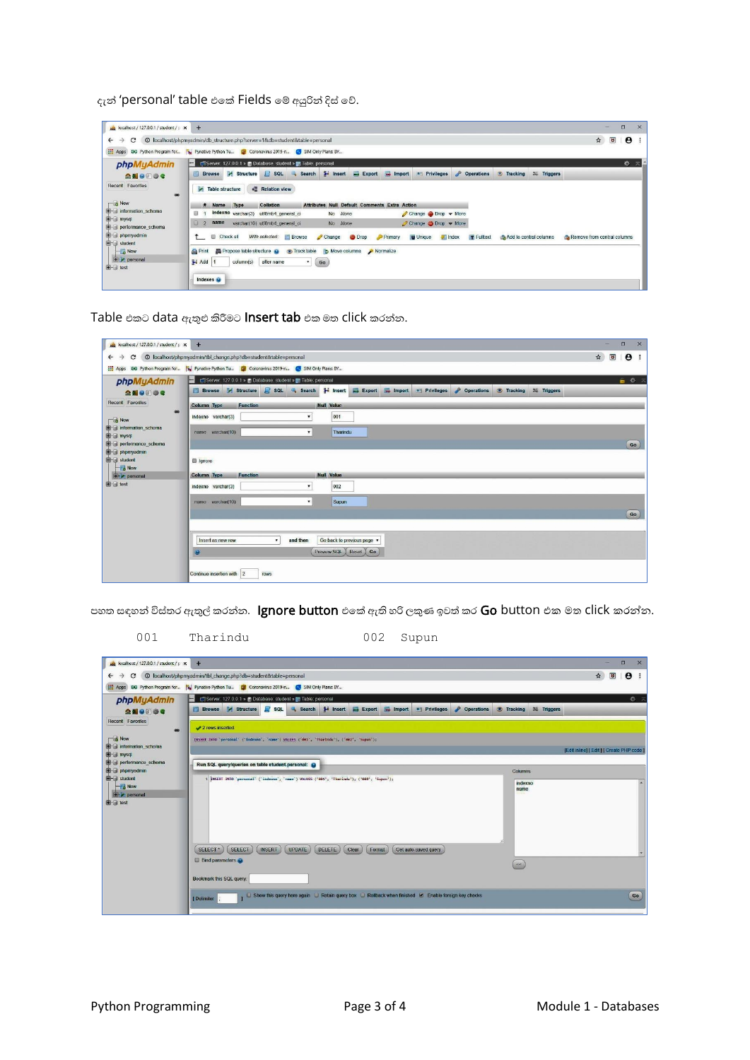දැන් 'personal' table එමක් Fields මම් අයුරින් දිස් මේ.

| $\mu$ localhost / 127.0.0.1 / student / $\mu$ $\times$ | $+$                                                                                                                                                                                                                      | $\times$<br>$\Box$<br>-                                                                   |
|--------------------------------------------------------|--------------------------------------------------------------------------------------------------------------------------------------------------------------------------------------------------------------------------|-------------------------------------------------------------------------------------------|
| C<br>$\rightarrow$<br>$\leftarrow$                     | © localhost/phpmyadmin/db_structure.php?server=18xdb=student8xtable=personal                                                                                                                                             | $\overline{a}$<br>$\boldsymbol{\Theta}$<br>$\boldsymbol{\hat{p}}$<br>$\ddot{\phantom{1}}$ |
|                                                        | Apps 96 Python Program for W Pynative Python Tu 2 Coronavirus 2019-n C SIM Only Plans: BY                                                                                                                                |                                                                                           |
| phpMyAdmin                                             | Server. 127.0.0.1 >   Database. student >   Table. personal                                                                                                                                                              | 收 大量                                                                                      |
| $\triangle$ all $\Theta$ of $\triangle$ c              | <b>Browse</b><br><b>M</b> Structure<br><b>3-c</b> Insert<br>$\Box$ sal<br>$\equiv$ Export<br>Import<br><b>Privileges</b><br><b>D</b> Operations<br><b>Tracking</b><br>Search<br>26 Triggers<br>$\circ$<br>$\blacksquare$ |                                                                                           |
| Recent Favorites<br>60                                 | 4 Relation view<br>Table structure                                                                                                                                                                                       |                                                                                           |
| $\Box$ New                                             | Attributes Null Default Comments Extra Action<br><b>Collation</b><br># Name<br>Type                                                                                                                                      |                                                                                           |
| <b>E-i</b> information schema<br><b>E-a</b> mysql      | indexno varchar(3)<br>自<br>utf8mb4 general ci<br>No<br><b>None</b><br>Change O Drop - More                                                                                                                               |                                                                                           |
| <b>Performance</b> schema                              | $\Box$<br>name<br>varchar(10) utf8mb4 general ci<br>No<br>None<br>Change O Drop V More<br>$\mathcal{P}$                                                                                                                  |                                                                                           |
| phpmyadmin<br>曲-6<br>student                           | Check all<br>ື∟<br>With selected:<br><b>Browse</b><br><b>U</b> Unique<br><b>T</b> Fulltext<br>$\triangle$ Change<br><b>O</b> Drop<br><b>Primary</b><br>Index<br>Add to central columns                                   | Remove from central columns                                                               |
| New<br><b>+ personal</b><br>图 test                     | Track table<br>Propose table structure<br>Move columns A Normalize<br><b>Print</b><br>after name<br>Go<br><b>E</b> i Add<br>column(s)                                                                                    |                                                                                           |
|                                                        | Indexes $\bullet$                                                                                                                                                                                                        |                                                                                           |

Table එකට data ඇතුළු කිරීමට Insert tab එක මත click කරන්න.

| $\mu$ localhost / 127.0.0.1 / student / p $\times$                        | $+$                                                                                                                                                                 | $\times$<br>$\Box$<br>÷                                                       |
|---------------------------------------------------------------------------|---------------------------------------------------------------------------------------------------------------------------------------------------------------------|-------------------------------------------------------------------------------|
| $\rightarrow$<br>C<br>$\leftarrow$                                        | © localhost/phpmyadmin/tbl_change.php?db=student&table=personal                                                                                                     | $\boldsymbol{\star}$<br>$\overline{a}$<br>$\boldsymbol{\Theta}$<br>$\ddot{ }$ |
|                                                                           | Apps 86 Python Program for By Pynative Python Tu G Coronavirus 2019-n G SIM Only Plans: BY                                                                          |                                                                               |
| phpMyAdmin                                                                | En Server: 127.0.0.1 » Catabase: student » En Table: personal<br>$\left  \leftarrow \right $                                                                        | ■ 章 未                                                                         |
| <b>全国9回委号</b>                                                             | <b>Browse</b> M Structure<br>SQL & Search <b>i</b> Insert<br>P<br>$E$ Export<br>Import<br>a <sup>*</sup> Privileges<br><b>Operations</b><br>Tracking<br>36 Triggers |                                                                               |
| Recent Favorites                                                          | <b>Null Value</b><br><b>Column Type</b><br><b>Function</b>                                                                                                          |                                                                               |
| $rac{1}{2}$<br>$\Box$ New                                                 | 001<br>indexno varchar(3)<br>$\pmb{\mathbf{v}}$                                                                                                                     |                                                                               |
| <b>E</b> information schema<br><b>B</b> a mysql                           | Tharindu<br>$\mathbf{v}$<br>name varchar(10)                                                                                                                        |                                                                               |
| <b>Derformance</b> schema<br><b>De Deprovadmin</b><br><b>E</b> -B student | g Ignore                                                                                                                                                            | Go                                                                            |
| <b>B</b> New<br><b>+ personal</b>                                         | <b>Null Value</b><br><b>Column Type</b><br><b>Function</b>                                                                                                          |                                                                               |
| <b>B</b> a test                                                           | 002<br>indexno varchar(3)<br>$\pmb{\mathrm{v}}$                                                                                                                     |                                                                               |
|                                                                           | Supun<br>$\pmb{\mathrm{v}}$<br>name varchar(10)                                                                                                                     |                                                                               |
|                                                                           |                                                                                                                                                                     | Go                                                                            |
|                                                                           | Go back to previous page v<br>and then<br>Insert as new row<br>Preview SQL Reset Go<br>$\mathbf{G}$                                                                 |                                                                               |
|                                                                           | rows<br>Continue insertion with 2                                                                                                                                   |                                                                               |

පහත සඳහන් විස්තර ඇතුල් කරන්න.  $\,$ Ignore button එකේ ඇති හරි ලකුණ ඉවත් කර  $\,$ Go $\,$  button එක මත  $\,$ click කරන්න.

## 001 Tharindu 002 Supun

| $\frac{1}{2}$ localhost / 127.0.0.1 / student / p $\times$                                 | $+$                                                                                                                                                                                                          | $\Box$<br>$\times$<br>÷                           |  |  |  |  |  |  |  |  |  |  |
|--------------------------------------------------------------------------------------------|--------------------------------------------------------------------------------------------------------------------------------------------------------------------------------------------------------------|---------------------------------------------------|--|--|--|--|--|--|--|--|--|--|
| C<br>$\rightarrow$<br>$\leftarrow$                                                         | © localhost/phpmyadmin/tbl_change.php?db=student&table=personal                                                                                                                                              | $\frac{1}{2}$<br>$\mathbf{e}$ :<br>$\overline{a}$ |  |  |  |  |  |  |  |  |  |  |
| Apps 86 Python Program for                                                                 | Pynative Python Tu <b>For</b> Coronavirus 2019-n <b>C</b> SIM Only Plans: BY                                                                                                                                 |                                                   |  |  |  |  |  |  |  |  |  |  |
| phpMyAdmin                                                                                 | Ell Server: 127.0.0.1 » @ Database: student » [ Table: personal<br>н                                                                                                                                         | 数 六                                               |  |  |  |  |  |  |  |  |  |  |
| $\Omega$ do o o c                                                                          | <b>Browse</b><br><b>M</b> Structure<br>$\blacksquare$ sq.<br><b>i</b> insert<br>Export <b>I</b> mport<br><b>D</b> Operations<br>a <sup>*</sup> Privileges<br><b>Search</b><br><b>Tracking</b><br>36 Triggers |                                                   |  |  |  |  |  |  |  |  |  |  |
| <b>Recent Favorites</b><br>$\bullet$                                                       | 2 rows inserted.                                                                                                                                                                                             |                                                   |  |  |  |  |  |  |  |  |  |  |
| $\Box$ New<br>information schema                                                           | INSERT INTO 'personal' ('indexno', 'name') VALUES ('001', 'Tharindu'), ('002', 'Supun');<br>[Edit inline]   Edit     Create PHP code                                                                         |                                                   |  |  |  |  |  |  |  |  |  |  |
| <b>B</b> a mysol                                                                           |                                                                                                                                                                                                              |                                                   |  |  |  |  |  |  |  |  |  |  |
| <b>Derformance</b> schema<br><b>De phpmyadmin</b>                                          | Run SQL query/queries on table student personal:<br><b>Columns</b>                                                                                                                                           |                                                   |  |  |  |  |  |  |  |  |  |  |
| <b>B</b> -B student<br><b>B</b> New<br><b>Profit personal</b><br><b>B</b> - <i>Ca</i> test | 1  INSERT INTO 'personal' ('indexno', 'name') VALUES ('001', 'Tharindu'), ('002', 'Supun');<br>indexno<br>name                                                                                               | $\blacktriangle$                                  |  |  |  |  |  |  |  |  |  |  |
|                                                                                            | <b>SELECT</b><br>UPDATE<br>DELETE<br>SELECT*<br><b>INSERT</b><br>Clear<br>Get auto-saved query<br>Format<br><b>Bind parameters</b><br>$\epsilon$                                                             |                                                   |  |  |  |  |  |  |  |  |  |  |
|                                                                                            | Bookmark this SQL query.                                                                                                                                                                                     |                                                   |  |  |  |  |  |  |  |  |  |  |
|                                                                                            | □ Show this query here again □ Retain query box □ Reliback when finished 년 Enable foreign key checks<br>  Delimiter                                                                                          | Go                                                |  |  |  |  |  |  |  |  |  |  |